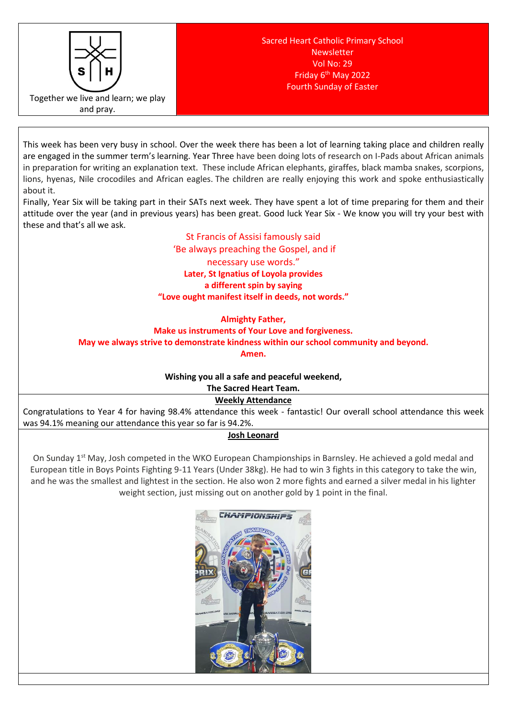

This week has been very busy in school. Over the week there has been a lot of learning taking place and children really are engaged in the summer term's learning. Year Three have been doing lots of research on I-Pads about African animals in preparation for writing an explanation text. These include African elephants, giraffes, black mamba snakes, scorpions, lions, hyenas, Nile crocodiles and African eagles. The children are really enjoying this work and spoke enthusiastically about it.

Finally, Year Six will be taking part in their SATs next week. They have spent a lot of time preparing for them and their attitude over the year (and in previous years) has been great. Good luck Year Six - We know you will try your best with these and that's all we ask.

# St Francis of Assisi famously said

'Be always preaching the Gospel, and if necessary use words." **Later, St Ignatius of Loyola provides a different spin by saying "Love ought manifest itself in deeds, not words."**

#### **Almighty Father,**

**Make us instruments of Your Love and forgiveness.** 

# **May we always strive to demonstrate kindness within our school community and beyond.**

**Amen.** 

# **Wishing you all a safe and peaceful weekend,**

**The Sacred Heart Team. Weekly Attendance**

Congratulations to Year 4 for having 98.4% attendance this week - fantastic! Our overall school attendance this week was 94.1% meaning our attendance this year so far is 94.2%.

# **Josh Leonard**

On Sunday 1<sup>st</sup> May, Josh competed in the WKO European Championships in Barnsley. He achieved a gold medal and European title in Boys Points Fighting 9-11 Years (Under 38kg). He had to win 3 fights in this category to take the win, and he was the smallest and lightest in the section. He also won 2 more fights and earned a silver medal in his lighter weight section, just missing out on another gold by 1 point in the final.

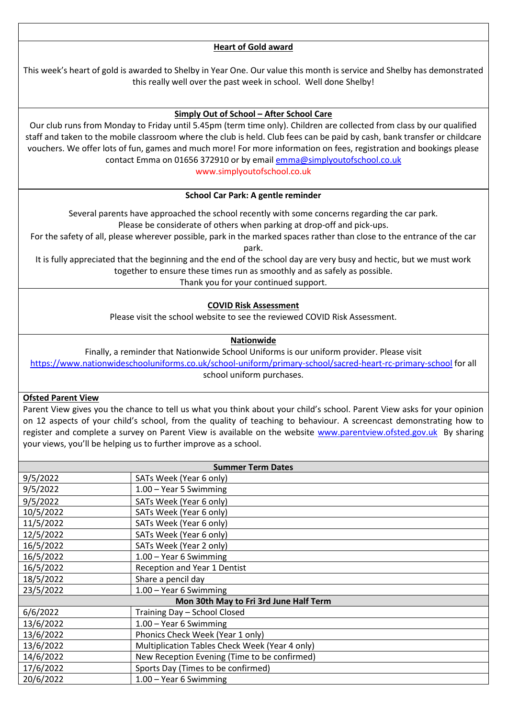# **Heart of Gold award**

This week's heart of gold is awarded to Shelby in Year One. Our value this month is service and Shelby has demonstrated this really well over the past week in school. Well done Shelby!

### **Simply Out of School – After School Care**

Our club runs from Monday to Friday until 5.45pm (term time only). Children are collected from class by our qualified staff and taken to the mobile classroom where the club is held. Club fees can be paid by cash, bank transfer or childcare vouchers. We offer lots of fun, games and much more! For more information on fees, registration and bookings please contact Emma on 01656 372910 or by email [emma@simplyoutofschool.co.uk](mailto:emma@simplyoutofschool.co.uk)

www.simplyoutofschool.co.uk

#### **School Car Park: A gentle reminder**

Several parents have approached the school recently with some concerns regarding the car park. Please be considerate of others when parking at drop-off and pick-ups.

For the safety of all, please wherever possible, park in the marked spaces rather than close to the entrance of the car park.

It is fully appreciated that the beginning and the end of the school day are very busy and hectic, but we must work together to ensure these times run as smoothly and as safely as possible.

Thank you for your continued support.

#### **COVID Risk Assessment**

Please visit the school website to see the reviewed COVID Risk Assessment.

#### **Nationwide**

Finally, a reminder that Nationwide School Uniforms is our uniform provider. Please visit <https://www.nationwideschooluniforms.co.uk/school-uniform/primary-school/sacred-heart-rc-primary-school> for all school uniform purchases.

#### **Ofsted Parent View**

Parent View gives you the chance to tell us what you think about your child's school. Parent View asks for your opinion on 12 aspects of your child's school, from the quality of teaching to behaviour. A screencast demonstrating how to register and complete a survey on Parent View is available on the website [www.parentview.ofsted.gov.uk](http://www.parentview.ofsted.gov.uk/) By sharing your views, you'll be helping us to further improve as a school.

| <b>Summer Term Dates</b>               |                                                |
|----------------------------------------|------------------------------------------------|
| 9/5/2022                               | SATs Week (Year 6 only)                        |
| 9/5/2022                               | 1.00 - Year 5 Swimming                         |
| 9/5/2022                               | SATs Week (Year 6 only)                        |
| 10/5/2022                              | SATs Week (Year 6 only)                        |
| 11/5/2022                              | SATs Week (Year 6 only)                        |
| 12/5/2022                              | SATs Week (Year 6 only)                        |
| 16/5/2022                              | SATs Week (Year 2 only)                        |
| 16/5/2022                              | 1.00 - Year 6 Swimming                         |
| 16/5/2022                              | Reception and Year 1 Dentist                   |
| 18/5/2022                              | Share a pencil day                             |
| 23/5/2022                              | $1.00 - Year$ 6 Swimming                       |
| Mon 30th May to Fri 3rd June Half Term |                                                |
| 6/6/2022                               | Training Day - School Closed                   |
| 13/6/2022                              | 1.00 - Year 6 Swimming                         |
| 13/6/2022                              | Phonics Check Week (Year 1 only)               |
| 13/6/2022                              | Multiplication Tables Check Week (Year 4 only) |
| 14/6/2022                              | New Reception Evening (Time to be confirmed)   |
| 17/6/2022                              | Sports Day (Times to be confirmed)             |
| 20/6/2022                              | 1.00 - Year 6 Swimming                         |